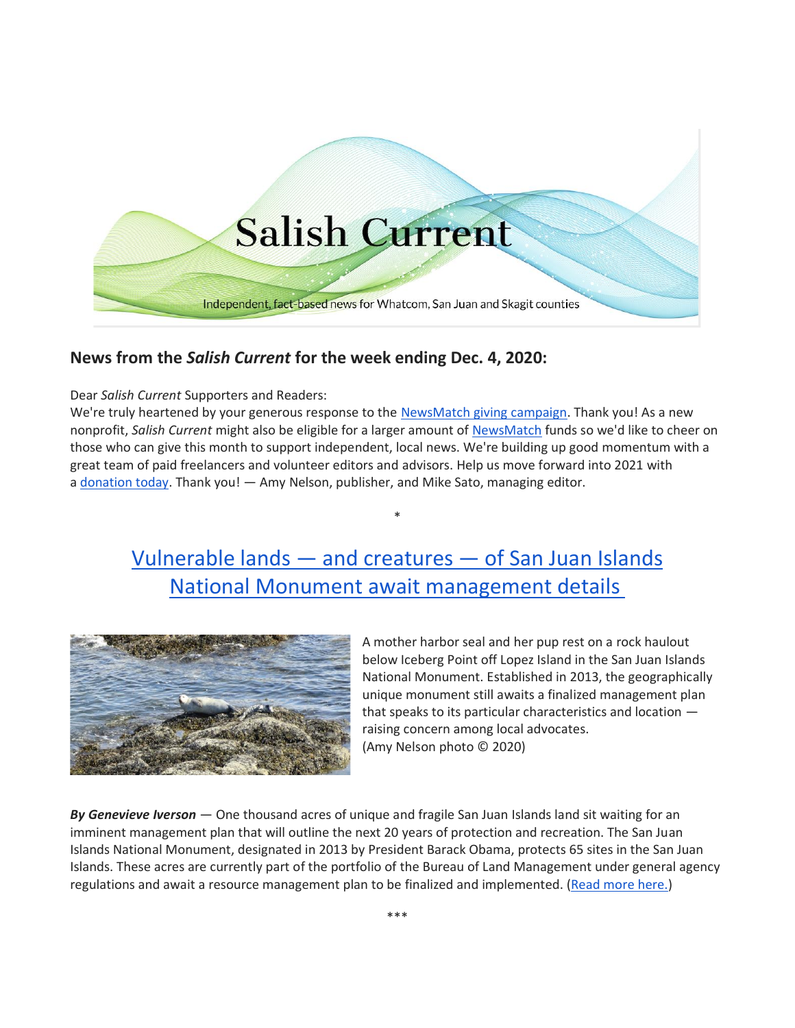

# **News from the** *Salish Current* **for the week ending Dec. 4, 2020:**

## Dear *Salish Current* Supporters and Readers:

We're truly heartened by your generous response to the [NewsMatch giving campaign.](https://salish-current.org/donate) Thank you! As a new nonprofit, *Salish Current* might also be eligible for a larger amount of [NewsMatch](https://salish-current.org/donate) funds so we'd like to cheer on those who can give this month to support independent, local news. We're building up good momentum with a great team of paid freelancers and volunteer editors and advisors. Help us move forward into 2021 with a [donation today.](https://salish-current.org/donate) Thank you! — Amy Nelson, publisher, and Mike Sato, managing editor.

# Vulnerable lands — and creatures — [of San Juan Islands](https://salish-current.org/2020/12/04/vulnerable-lands-and-creatures-of-san-juan-islands-national-monument-await-management-details/) National Monument [await management details](https://salish-current.org/2020/12/04/vulnerable-lands-and-creatures-of-san-juan-islands-national-monument-await-management-details/)

\*



A mother harbor seal and her pup rest on a rock haulout below Iceberg Point off Lopez Island in the San Juan Islands National Monument. Established in 2013, the geographically unique monument still awaits a finalized management plan that speaks to its particular characteristics and location raising concern among local advocates. (Amy Nelson photo © 2020)

*By Genevieve Iverson* — One thousand acres of unique and fragile San Juan Islands land sit waiting for an imminent management plan that will outline the next 20 years of protection and recreation. The San Juan Islands National Monument, designated in 2013 by President Barack Obama, protects 65 sites in the San Juan Islands. These acres are currently part of the portfolio of the Bureau of Land Management under general agency regulations and await a resource management plan to be finalized and implemented. [\(Read more here.\)](https://salish-current.org/2020/12/04/vulnerable-lands-and-creatures-of-san-juan-islands-national-monument-await-management-details/)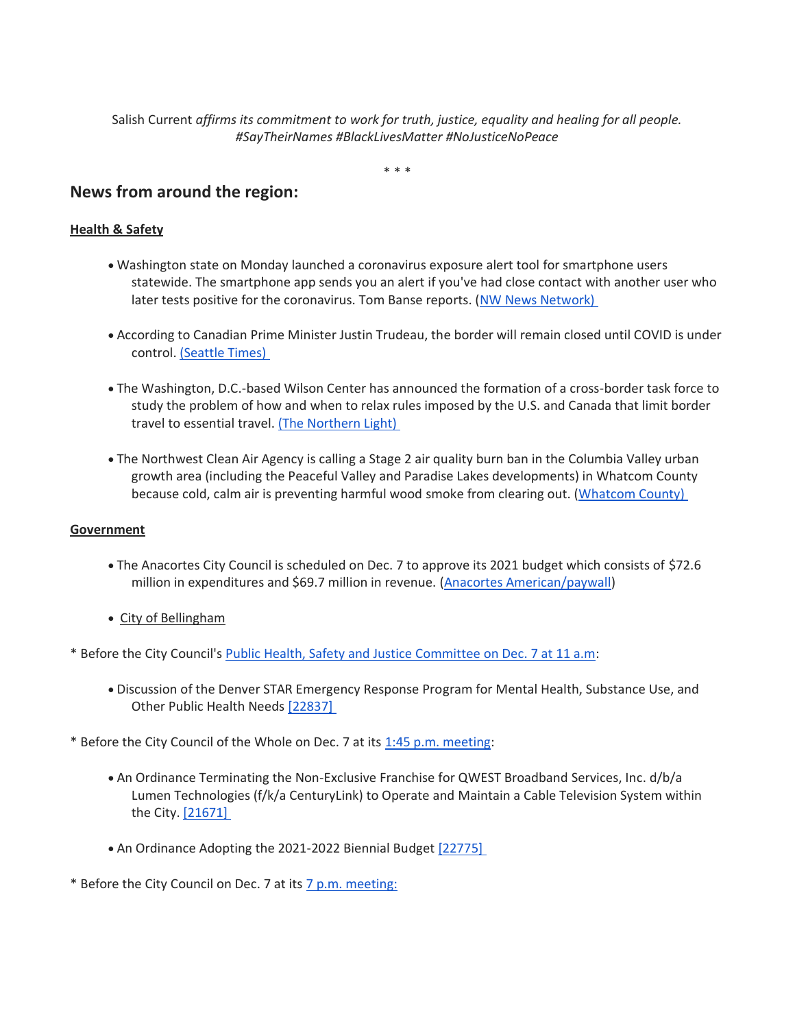Salish Current *affirms its commitment to work for truth, justice, equality and healing for all people. #SayTheirNames #BlackLivesMatter #NoJusticeNoPeace*

\* \* \*

# **News from around the region:**

## **Health & Safety**

- Washington state on Monday launched a coronavirus exposure alert tool for smartphone users statewide. The smartphone app sends you an alert if you've had close contact with another user who later tests positive for the coronavirus. Tom Banse reports. [\(NW News Network\)](https://kuow.org/stories/washington-launches-covid-exposure-alert-app-statewide-you-need-to-turn-it-on)
- According to Canadian Prime Minister Justin Trudeau, the border will remain closed until COVID is under control. [\(Seattle Times\)](https://www.seattletimes.com/seattle-news/health/canada-us-border-measures-to-last-until-virus-under-control/)
- The Washington, D.C.-based Wilson Center has announced the formation of a cross-border task force to study the problem of how and when to relax rules imposed by the U.S. and Canada that limit border travel to essential travel. [\(The Northern Light\)](https://www.thenorthernlight.com/stories/trans-border-task-force-formed-to-study-border-reopening,12055?)
- The Northwest Clean Air Agency is calling a Stage 2 air quality burn ban in the Columbia Valley urban growth area (including the Peaceful Valley and Paradise Lakes developments) in Whatcom County because cold, calm air is preventing harmful wood smoke from clearing out. [\(Whatcom County\)](https://www.whatcomcounty.us/CivicAlerts.aspx?AID=2309)

### **Government**

- The Anacortes City Council is scheduled on Dec. 7 to approve its 2021 budget which consists of \$72.6 million in expenditures and \$69.7 million in revenue. [\(Anacortes American/paywall\)](https://www.goskagit.com/anacortes/news/city-council-will-vote-dec-7-on-2021-budget/article_7d45bfe8-34af-11eb-a8fe-9f2c77f9bad2.html)
- City of Bellingham

\* Before the City Council's [Public Health, Safety and Justice Committee on Dec. 7 at 11 a.m:](https://meetings.cob.org/Meetings/ViewMeeting?id=2353&doctype=1)

- Discussion of the Denver STAR Emergency Response Program for Mental Health, Substance Use, and Other Public Health Needs [\[22837\]](https://meetings.cob.org/Documents/ViewDocument/Agenda%20Bill%2022837.pdf?meetingId=2353&documentType=Agenda&itemId=17064&publishId=18701&isSection=false)
- \* Before the City Council of the Whole on Dec. 7 at its [1:45 p.m. meeting:](https://meetings.cob.org/Meetings/ViewMeeting?id=2351&doctype=1)
	- An Ordinance Terminating the Non-Exclusive Franchise for QWEST Broadband Services, Inc. d/b/a Lumen Technologies (f/k/a CenturyLink) to Operate and Maintain a Cable Television System within the City. [\[21671\]](https://meetings.cob.org/Documents/ViewDocument/Agenda%20Bill%2021671.pdf?meetingId=2351&documentType=Agenda&itemId=16904&publishId=18739&isSection=false)
	- An Ordinance Adopting the 2021-2022 Biennial Budget [\[22775\]](https://meetings.cob.org/Documents/ViewDocument/Attachment%20-%20STAFF%20MEMO%20-%20AB_%2022775.pdf?meetingId=2351&documentType=Agenda&itemId=17167&publishId=18747&isSection=false)
- \* Before the City Council on Dec. 7 at its [7 p.m. meeting:](https://meetings.cob.org/Meetings/ViewMeeting?id=2346&doctype=1)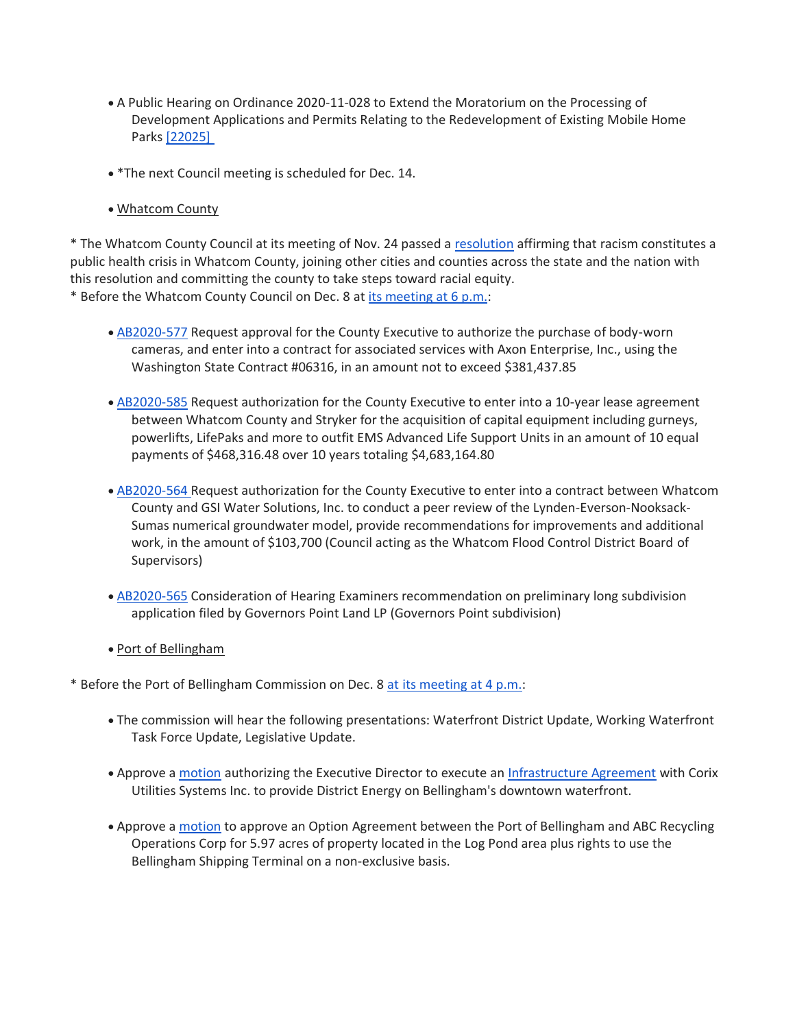- A Public Hearing on Ordinance 2020-11-028 to Extend the Moratorium on the Processing of Development Applications and Permits Relating to the Redevelopment of Existing Mobile Home Parks [\[22025\]](https://meetings.cob.org/Documents/ViewDocument/Agenda%20Bill%2022025.pdf?meetingId=2346&documentType=Agenda&itemId=16720&publishId=18643&isSection=false)
- \*The next Council meeting is scheduled for Dec. 14.
- Whatcom County

\* The Whatcom County Council at its meeting of Nov. 24 passed a [resolution](https://www.whatcomcounty.us/DocumentCenter/View/52213/Health_Board_Resolution_on_Racism?bidId=) affirming that racism constitutes a public health crisis in Whatcom County, joining other cities and counties across the state and the nation with this resolution and committing the county to take steps toward racial equity. \* Before the Whatcom County Council on Dec. 8 at [its meeting at 6 p.m.:](https://whatcom.legistar.com/View.ashx?M=A&ID=735091&GUID=EB00F860-4EB2-4A76-A23A-13DEF8D16EA0)

- [AB2020-577](https://whatcom.legistar.com/LegislationDetail.aspx?ID=4709132&GUID=E4939A88-B5AF-4E81-A847-BDC20A80DA6D) Request approval for the County Executive to authorize the purchase of body-worn cameras, and enter into a contract for associated services with Axon Enterprise, Inc., using the Washington State Contract #06316, in an amount not to exceed \$381,437.85
- [AB2020-585](https://whatcom.legistar.com/LegislationDetail.aspx?ID=4709139&GUID=D7DB5C30-37D8-4E1B-B91D-7C98CBA12C4E) Request authorization for the County Executive to enter into a 10-year lease agreement between Whatcom County and Stryker for the acquisition of capital equipment including gurneys, powerlifts, LifePaks and more to outfit EMS Advanced Life Support Units in an amount of 10 equal payments of \$468,316.48 over 10 years totaling \$4,683,164.80
- [AB2020-564](https://whatcom.legistar.com/LegislationDetail.aspx?ID=4709123&GUID=16E62AA0-50A3-47C2-9B51-8649FDB202D3) Request authorization for the County Executive to enter into a contract between Whatcom County and GSI Water Solutions, Inc. to conduct a peer review of the Lynden-Everson-Nooksack-Sumas numerical groundwater model, provide recommendations for improvements and additional work, in the amount of \$103,700 (Council acting as the Whatcom Flood Control District Board of Supervisors)
- [AB2020-565](https://whatcom.legistar.com/LegislationDetail.aspx?ID=4709232&GUID=24FAFE8B-79E2-4CF2-AB6F-417FE00B1CA7) Consideration of Hearing Examiners recommendation on preliminary long subdivision application filed by Governors Point Land LP (Governors Point subdivision)
- Port of Bellingham

\* Before the Port of Bellingham Commission on Dec. 8 [at its meeting at 4 p.m.:](https://www.portofbellingham.com/AgendaCenter/ViewFile/Agenda/_12082020-460)

- The commission will hear the following presentations: Waterfront District Update, Working Waterfront Task Force Update, Legislative Update.
- Approve a [motion](https://www.portofbellingham.com/DocumentCenter/View/9851/AI-1-a) authorizing the Executive Director to execute an [Infrastructure Agreement](https://www.portofbellingham.com/DocumentCenter/View/9852/AI-1-b) with Corix Utilities Systems Inc. to provide District Energy on Bellingham's downtown waterfront.
- Approve a [motion](https://www.portofbellingham.com/DocumentCenter/View/9854/AI-3) to approve an Option Agreement between the Port of Bellingham and ABC Recycling Operations Corp for 5.97 acres of property located in the Log Pond area plus rights to use the Bellingham Shipping Terminal on a non-exclusive basis.